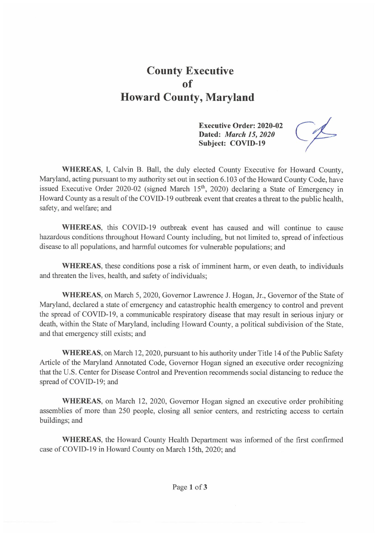## County Executive of Howard County, Maryland

Executive Order: 2020-02 Dated: *March 15, 2020* Subject: COVID-19

WHEREAS, I, Calvin B. Ball, the duly elected County Executive for Howard County, Maryland, acting pursuant to my authority set out in section 6.103 of the Howard County Code, have issued Executive Order 2020-02 (signed March 15<sup>th</sup>, 2020) declaring a State of Emergency in Howard County as a result of the COVID-19 outbreak event that creates a threat to the public health, safety, and welfare; and

WHEREAS, this COVID-19 outbreak event has caused and will continue to cause hazardous conditions throughout Howard County including, but not limited to, spread of infectious disease to all populations, and harmful outcomes for vulnerable populations; and

WHEREAS, these conditions pose a risk of imminent harm, or even death, to individuals and threaten the lives, health, and safety of individuals;

WHEREAS, on March 5, 2020, Governor Lawrence J. Hogan, Jr., Governor of the State of Maryland, declared a state of emergency and catastrophic health emergency to control and prevent the spread of COVID-19, a communicable respiratory disease that may result in serious injury or death, within the State of Maryland, including Howard County, a political subdivision of the State, and that emergency still exists; and

WHEREAS, on March 12, 2020, pursuant to his authority under Title 14 of the Public Safety Article of the Maryland Annotated Code, Governor Hogan signed an executive order recognizing that the U.S. Center for Disease Control and Prevention recommends social distancing to reduce the spread of COVID-19; and

WHEREAS, on March 12, 2020, Governor Hogan signed an executive order prohibiting assemblies of more than 250 people, closing all senior centers, and restricting access to certain buildings; and

WHEREAS, the Howard County Health Department was informed of the first confirmed case of COVID-19 in Howard County on March 15th, 2020; and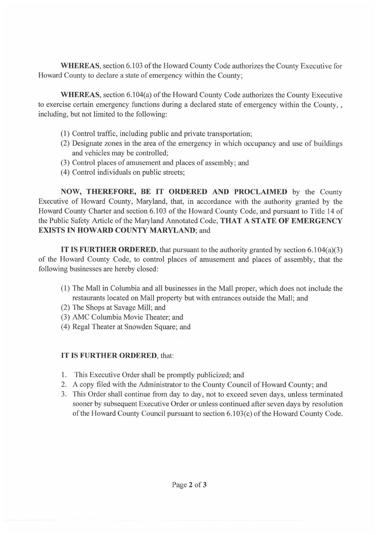WHEREAS, section 6.103 of the Howard County Code authorizes the County Executive for Howard County to declare a state of emergency within the County;

WHEREAS, section 6.104(a) of the Howard County Code authorizes the County Executive to exercise certain emergency functions during a declared state of emergency within the County, , including, but not limited to the following:

- (1) Control traffic, including public and private transportation;
- (2) Designate zones in the area of the emergency in which occupancy and use of buildings and vehicles may be controlled;
- (3) Control places of amusement and places of assembly; and
- (4) Control individuals on public streets;

NOW, THEREFORE, BE IT ORDERED AND PROCLAIMED by the County Executive of Howard County, Maryland, that, in accordance with the authority granted by the Howard County Charter and section 6.103 of the Howard County Code, and pursuant to Title 14 of the Public Safety Article of the Maryland Annotated Code, THAT A STATE OF EMERGENCY EXISTS IN HOWARD COUNTY MARYLAND; and

IT IS FURTHER ORDERED, that pursuant to the authority granted by section  $6.104(a)(3)$ of the Howard County Code, to control places of amusement and places of assembly, that the following businesses are hereby closed:

- (1) The Mall in Columbia and all businesses in the Mall proper, which does not include the restaurants located on MaII property but with entrances outside the Mall; and
- (2) The Shops at Savage Mill; and
- (3) AMC Columbia Movie Theater; and
- (4) Regal Theater at Snowden Square; and

## IT IS FURTHER ORDERED, that:

- $1<sub>1</sub>$ This Executive Order shall be promptly publicized; and
- 2. A copy filed with the Administrator to the County Council of Howard County; and
- 3 This Order shall continue from day to day, not to exceed seven days, unless terminated sooner by subsequent Executive Order or unless continued after seven days by resolution of the Howard County Council pursuant to section 6.103(c) of the Howard County Code.